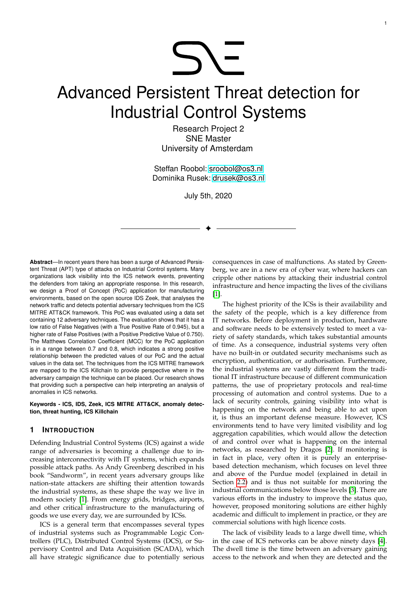# **SY-**

# Advanced Persistent Threat detection for Industrial Control Systems

Research Project 2 SNE Master University of Amsterdam

Steffan Roobol: [sroobol@os3.nl](mailto:sroobol@os3.nl) Dominika Rusek: [drusek@os3.nl](mailto:drusek@os3.nl)

July 5th, 2020

✦

**Abstract**—In recent years there has been a surge of Advanced Persistent Threat (APT) type of attacks on Industrial Control systems. Many organizations lack visibility into the ICS network events, preventing the defenders from taking an appropriate response. In this research, we design a Proof of Concept (PoC) application for manufacturing environments, based on the open source IDS Zeek, that analyses the network traffic and detects potential adversary techniques from the ICS MITRE ATT&CK framework. This PoC was evaluated using a data set containing 12 adversary techniques. The evaluation shows that it has a low ratio of False Negatives (with a True Positive Rate of 0.945), but a higher rate of False Positives (with a Positive Predictive Value of 0.750). The Matthews Correlation Coefficient (MCC) for the PoC application is in a range between 0.7 and 0.8, which indicates a strong positive relationship between the predicted values of our PoC and the actual values in the data set. The techniques from the ICS MITRE framework are mapped to the ICS Killchain to provide perspective where in the adversary campaign the technique can be placed. Our research shows that providing such a perspective can help interpreting an analysis of anomalies in ICS networks.

**Keywords - ICS, IDS, Zeek, ICS MITRE ATT&CK, anomaly detection, threat hunting, ICS Killchain**

#### **1 INTRODUCTION**

Defending Industrial Control Systems (ICS) against a wide range of adversaries is becoming a challenge due to increasing interconnectivity with IT systems, which expands possible attack paths. As Andy Greenberg described in his book "Sandworm", in recent years adversary groups like nation-state attackers are shifting their attention towards the industrial systems, as these shape the way we live in modern society [\[1\]](#page-8-0). From energy grids, bridges, airports, and other critical infrastructure to the manufacturing of goods we use every day, we are surrounded by ICSs.

ICS is a general term that encompasses several types of industrial systems such as Programmable Logic Controllers (PLC), Distributed Control Systems (DCS), or Supervisory Control and Data Acquisition (SCADA), which all have strategic significance due to potentially serious

consequences in case of malfunctions. As stated by Greenberg, we are in a new era of cyber war, where hackers can cripple other nations by attacking their industrial control infrastructure and hence impacting the lives of the civilians [\[1\]](#page-8-0).

1

The highest priority of the ICSs is their availability and the safety of the people, which is a key difference from IT networks. Before deployment in production, hardware and software needs to be extensively tested to meet a variety of safety standards, which takes substantial amounts of time. As a consequence, industrial systems very often have no built-in or outdated security mechanisms such as encryption, authentication, or authorisation. Furthermore, the industrial systems are vastly different from the traditional IT infrastructure because of different communication patterns, the use of proprietary protocols and real-time processing of automation and control systems. Due to a lack of security controls, gaining visibility into what is happening on the network and being able to act upon it, is thus an important defense measure. However, ICS environments tend to have very limited visibility and log aggregation capabilities, which would allow the detection of and control over what is happening on the internal networks, as researched by Dragos [\[2\]](#page-8-1). If monitoring is in fact in place, very often it is purely an enterprisebased detection mechanism, which focuses on level three and above of the Purdue model (explained in detail in Section [2.2\)](#page-1-0) and is thus not suitable for monitoring the industrial communications below those levels [\[3\]](#page-8-2). There are various efforts in the industry to improve the status quo, however, proposed monitoring solutions are either highly academic and difficult to implement in practice, or they are commercial solutions with high licence costs.

The lack of visibility leads to a large dwell time, which in the case of ICS networks can be above ninety days [\[4\]](#page-8-3). The dwell time is the time between an adversary gaining access to the network and when they are detected and the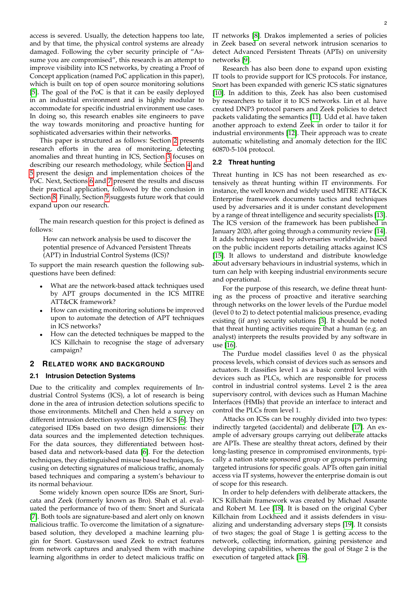access is severed. Usually, the detection happens too late, and by that time, the physical control systems are already damaged. Following the cyber security principle of "Assume you are compromised", this research is an attempt to improve visibility into ICS networks, by creating a Proof of Concept application (named PoC application in this paper), which is built on top of open source monitoring solutions [\[5\]](#page-8-4). The goal of the PoC is that it can be easily deployed in an industrial environment and is highly modular to accommodate for specific industrial environment use cases. In doing so, this research enables site engineers to pave the way towards monitoring and proactive hunting for sophisticated adversaries within their networks.

This paper is structured as follows: Section [2](#page-1-1) presents research efforts in the area of monitoring, detecting anomalies and threat hunting in ICS, Section [3](#page-2-0) focuses on describing our research methodology, while Section [4](#page-3-0) and [5](#page-5-0) present the design and implementation choices of the PoC. Next, Sections [6](#page-6-0) and [7](#page-6-1) present the results and discuss their practical application, followed by the conclusion in Section [8.](#page-7-0) Finally, Section [9](#page-8-5) suggests future work that could expand upon our research.

The main research question for this project is defined as follows:

How can network analysis be used to discover the potential presence of Advanced Persistent Threats (APT) in Industrial Control Systems (ICS)?

To support the main research question the following subquestions have been defined:

- What are the network-based attack techniques used by APT groups documented in the ICS MITRE ATT&CK framework?
- How can existing monitoring solutions be improved upon to automate the detection of APT techniques in ICS networks?
- How can the detected techniques be mapped to the ICS Killchain to recognise the stage of adversary campaign?

#### <span id="page-1-1"></span>**2 RELATED WORK AND BACKGROUND**

#### **2.1 Intrusion Detection Systems**

Due to the criticality and complex requirements of Industrial Control Systems (ICS), a lot of research is being done in the area of intrusion detection solutions specific to those environments. Mitchell and Chen held a survey on different intrusion detection systems (IDS) for ICS [\[6\]](#page-8-6). They categorised IDSs based on two design dimensions: their data sources and the implemented detection techniques. For the data sources, they differentiated between hostbased data and network-based data [\[6\]](#page-8-6). For the detection techniques, they distinguished misuse based techniques, focusing on detecting signatures of malicious traffic, anomaly based techniques and comparing a system's behaviour to its normal behaviour.

Some widely known open source IDSs are Snort, Suricata and Zeek (formerly known as Bro). Shah et al. evaluated the performance of two of them: Snort and Suricata [\[7\]](#page-8-7). Both tools are signature-based and alert only on known malicious traffic. To overcome the limitation of a signaturebased solution, they developed a machine learning plugin for Snort. Gustavsson used Zeek to extract features from network captures and analysed them with machine learning algorithms in order to detect malicious traffic on

IT networks [\[8\]](#page-8-8). Drakos implemented a series of policies in Zeek based on several network intrusion scenarios to detect Advanced Persistent Threats (APTs) on university networks [\[9\]](#page-8-9).

Research has also been done to expand upon existing IT tools to provide support for ICS protocols. For instance, Snort has been expanded with generic ICS static signatures [\[10\]](#page-8-10). In addition to this, Zeek has also been customised by researchers to tailor it to ICS networks. Lin et al. have created DNP3 protocol parsers and Zeek policies to detect packets validating the semantics [\[11\]](#page-8-11). Udd et al. have taken another approach to extend Zeek in order to tailor it for industrial environments [\[12\]](#page-8-12). Their approach was to create automatic whitelisting and anomaly detection for the IEC 60870-5-104 protocol.

#### <span id="page-1-0"></span>**2.2 Threat hunting**

Threat hunting in ICS has not been researched as extensively as threat hunting within IT environments. For instance, the well known and widely used MITRE ATT&CK Enterprise framework documents tactics and techniques used by adversaries and it is under constant development by a range of threat intelligence and security specialists [\[13\]](#page-8-13). The ICS version of the framework has been published in January 2020, after going through a community review [\[14\]](#page-8-14). It adds techniques used by adversaries worldwide, based on the public incident reports detailing attacks against ICS [\[15\]](#page-8-15). It allows to understand and distribute knowledge about adversary behaviours in industrial systems, which in turn can help with keeping industrial environments secure and operational.

For the purpose of this research, we define threat hunting as the process of proactive and iterative searching through networks on the lower levels of the Purdue model (level 0 to 2) to detect potential malicious presence, evading existing (if any) security solutions [\[3\]](#page-8-2). It should be noted that threat hunting activities require that a human (e.g. an analyst) interprets the results provided by any software in use [\[16\]](#page-8-16).

The Purdue model classifies level 0 as the physical process levels, which consist of devices such as sensors and actuators. It classifies level 1 as a basic control level with devices such as PLCs, which are responsible for process control in industrial control systems. Level 2 is the area supervisory control, with devices such as Human Machine Interfaces (HMIs) that provide an interface to interact and control the PLCs from level 1.

Attacks on ICSs can be roughly divided into two types: indirectly targeted (accidental) and deliberate [\[17\]](#page-8-17). An example of adversary groups carrying out deliberate attacks are APTs. These are stealthy threat actors, defined by their long-lasting presence in compromised environments, typically a nation state sponsored group or groups performing targeted intrusions for specific goals. APTs often gain initial access via IT systems, however the enterprise domain is out of scope for this research.

In order to help defenders with deliberate attackers, the ICS Killchain framework was created by Michael Assante and Robert M. Lee [\[18\]](#page-8-18). It is based on the original Cyber Killchain from Lockheed and it assists defenders in visualizing and understanding adversary steps [\[19\]](#page-8-19). It consists of two stages; the goal of Stage 1 is getting access to the network, collecting information, gaining persistence and developing capabilities, whereas the goal of Stage 2 is the execution of targeted attack [\[18\]](#page-8-18).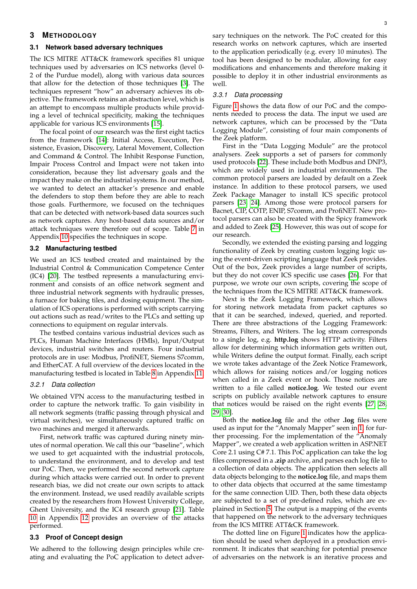#### <span id="page-2-0"></span>**3 METHODOLOGY**

#### <span id="page-2-1"></span>**3.1 Network based adversary techniques**

The ICS MITRE ATT&CK framework specifies 81 unique techniques used by adversaries on ICS networks (level 0- 2 of the Purdue model), along with various data sources that allow for the detection of those techniques [\[3\]](#page-8-2). The techniques represent "how" an adversary achieves its objective. The framework retains an abstraction level, which is an attempt to encompass multiple products while providing a level of technical specificity, making the techniques applicable for various ICS environments [\[15\]](#page-8-15).

The focal point of our research was the first eight tactics from the framework [\[14\]](#page-8-14): Initial Access, Execution, Persistence, Evasion, Discovery, Lateral Movement, Collection and Command & Control. The Inhibit Response Function, Impair Process Control and Impact were not taken into consideration, because they list adversary goals and the impact they make on the industrial systems. In our method, we wanted to detect an attacker's presence and enable the defenders to stop them before they are able to reach those goals. Furthermore, we focused on the techniques that can be detected with network-based data sources such as network captures. Any host-based data sources and/or attack techniques were therefore out of scope. Table [7](#page-11-0) in Appendix [10](#page-10-0) specifies the techniques in scope.

#### **3.2 Manufacturing testbed**

We used an ICS testbed created and maintained by the Industrial Control & Communication Competence Center (IC4) [\[20\]](#page-9-0). The testbed represents a manufacturing environment and consists of an office network segment and three industrial network segments with hydraulic presses, a furnace for baking tiles, and dosing equipment. The simulation of ICS operations is performed with scripts carrying out actions such as read/writes to the PLCs and setting up connections to equipment on regular intervals.

The testbed contains various industrial devices such as PLCs, Human Machine Interfaces (HMIs), Input/Output devices, industrial switches and routers. Four industrial protocols are in use: Modbus, ProfiNET, Siemens S7comm, and EtherCAT. A full overview of the devices located in the manufacturing testbed is located in Table [8](#page-12-0) in Appendix [11.](#page-12-1)

#### *3.2.1 Data collection*

We obtained VPN access to the manufacturing testbed in order to capture the network traffic. To gain visibility in all network segments (traffic passing through physical and virtual switches), we simultaneously captured traffic on two machines and merged it afterwards.

First, network traffic was captured during ninety minutes of normal operation. We call this our "baseline", which we used to get acquainted with the industrial protocols, to understand the environment, and to develop and test our PoC. Then, we performed the second network capture during which attacks were carried out. In order to prevent research bias, we did not create our own scripts to attack the environment. Instead, we used readily available scripts created by the researchers from Howest University College, Ghent University, and the IC4 research group [\[21\]](#page-9-1). Table [10](#page-13-0) in Appendix [12](#page-13-1) provides an overview of the attacks performed.

#### **3.3 Proof of Concept design**

We adhered to the following design principles while creating and evaluating the PoC application to detect adversary techniques on the network. The PoC created for this research works on network captures, which are inserted to the application periodically (e.g. every 10 minutes). The tool has been designed to be modular, allowing for easy modifications and enhancements and therefore making it possible to deploy it in other industrial environments as well.

#### *3.3.1 Data processing*

Figure [1](#page-3-1) shows the data flow of our PoC and the components needed to process the data. The input we used are network captures, which can be processed by the "Data Logging Module", consisting of four main components of the Zeek platform.

First in the "Data Logging Module" are the protocol analysers. Zeek supports a set of parsers for commonly used protocols [\[22\]](#page-9-2). These include both Modbus and DNP3, which are widely used in industrial environments. The common protocol parsers are loaded by default on a Zeek instance. In addition to these protocol parsers, we used Zeek Package Manager to install ICS specific protocol parsers [\[23,](#page-9-3) [24\]](#page-9-4). Among those were protocol parsers for Bacnet, CIP, COTP, ENIP, S7comm, and ProfiNET. New protocol parsers can also be created with the Spicy framework and added to Zeek [\[25\]](#page-9-5). However, this was out of scope for our research.

Secondly, we extended the existing parsing and logging functionality of Zeek by creating custom logging logic using the event-driven scripting language that Zeek provides. Out of the box, Zeek provides a large number of scripts, but they do not cover ICS specific use cases [\[26\]](#page-9-6). For that purpose, we wrote our own scripts, covering the scope of the techniques from the ICS MITRE ATT&CK framework.

Next is the Zeek Logging Framework, which allows for storing network metadata from packet captures so that it can be searched, indexed, queried, and reported. There are three abstractions of the Logging Framework: Streams, Filters, and Writers. The log stream corresponds to a single log, e.g. **http.log** shows HTTP activity. Filters allow for determining which information gets written out, while Writers define the output format. Finally, each script we wrote takes advantage of the Zeek Notice Framework, which allows for raising notices and/or logging notices when called in a Zeek event or hook. Those notices are written to a file called **notice.log**. We tested our event scripts on publicly available network captures to ensure that notices would be raised on the right events [\[27,](#page-9-7) [28,](#page-9-8) [29,](#page-9-9) [30\]](#page-9-10).

Both the **notice.log** file and the other **.log** files were used as input for the "Anomaly Mapper" seen in [1,](#page-3-1) for further processing. For the implementation of the "Anomaly Mapper", we created a web application written in ASP.NET Core 2.1 using C# 7.1. This PoC application can take the log files compressed in a **.zip** archive, and parses each log file to a collection of data objects. The application then selects all data objects belonging to the **notice.log** file, and maps them to other data objects that occurred at the same timestamp for the same connection UID. Then, both these data objects are subjected to a set of pre-defined rules, which are explained in Section [5.](#page-5-0) The output is a mapping of the events that happened on the network to the adversary techniques from the ICS MITRE ATT&CK framework.

The dotted line on Figure [1](#page-3-1) indicates how the application should be used when deployed in a production environment. It indicates that searching for potential presence of adversaries on the network is an iterative process and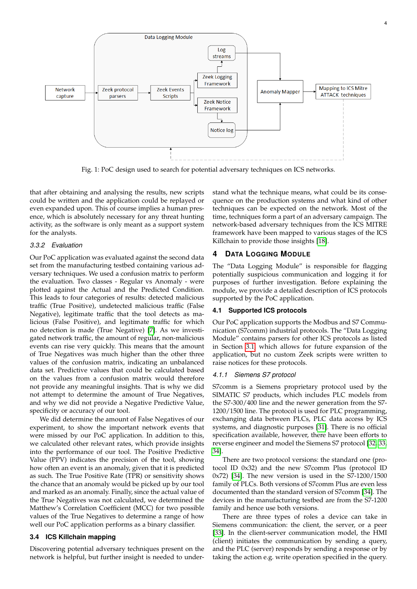<span id="page-3-1"></span>

Fig. 1: PoC design used to search for potential adversary techniques on ICS networks.

that after obtaining and analysing the results, new scripts could be written and the application could be replayed or even expanded upon. This of course implies a human presence, which is absolutely necessary for any threat hunting activity, as the software is only meant as a support system for the analysts.

#### *3.3.2 Evaluation*

Our PoC application was evaluated against the second data set from the manufacturing testbed containing various adversary techniques. We used a confusion matrix to perform the evaluation. Two classes - Regular vs Anomaly - were plotted against the Actual and the Predicted Condition. This leads to four categories of results: detected malicious traffic (True Positive), undetected malicious traffic (False Negative), legitimate traffic that the tool detects as malicious (False Positive), and legitimate traffic for which no detection is made (True Negative) [\[7\]](#page-8-7). As we investigated network traffic, the amount of regular, non-malicious events can rise very quickly. This means that the amount of True Negatives was much higher than the other three values of the confusion matrix, indicating an unbalanced data set. Predictive values that could be calculated based on the values from a confusion matrix would therefore not provide any meaningful insights. That is why we did not attempt to determine the amount of True Negatives, and why we did not provide a Negative Predictive Value, specificity or accuracy of our tool.

We did determine the amount of False Negatives of our experiment, to show the important network events that were missed by our PoC application. In addition to this, we calculated other relevant rates, which provide insights into the performance of our tool. The Positive Predictive Value (PPV) indicates the precision of the tool, showing how often an event is an anomaly, given that it is predicted as such. The True Positive Rate (TPR) or sensitivity shows the chance that an anomaly would be picked up by our tool and marked as an anomaly. Finally, since the actual value of the True Negatives was not calculated, we determined the Matthew's Correlation Coefficient (MCC) for two possible values of the True Negatives to determine a range of how well our PoC application performs as a binary classifier.

#### **3.4 ICS Killchain mapping**

Discovering potential adversary techniques present on the network is helpful, but further insight is needed to understand what the technique means, what could be its consequence on the production systems and what kind of other techniques can be expected on the network. Most of the time, techniques form a part of an adversary campaign. The network-based adversary techniques from the ICS MITRE framework have been mapped to various stages of the ICS Killchain to provide those insights [\[18\]](#page-8-18).

#### <span id="page-3-0"></span>**4 DATA LOGGING MODULE**

The "Data Logging Module" is responsible for flagging potentially suspicious communication and logging it for purposes of further investigation. Before explaining the module, we provide a detailed description of ICS protocols supported by the PoC application.

#### **4.1 Supported ICS protocols**

Our PoC application supports the Modbus and S7 Communication (S7comm) industrial protocols. The "Data Logging Module" contains parsers for other ICS protocols as listed in Section [3.1,](#page-2-1) which allows for future expansion of the application, but no custom Zeek scripts were written to raise notices for these protocols.

#### *4.1.1 Siemens S7 protocol*

S7comm is a Siemens proprietary protocol used by the SIMATIC S7 products, which includes PLC models from the S7-300/400 line and the newer generation from the S7- 1200/1500 line. The protocol is used for PLC programming, exchanging data between PLCs, PLC data access by ICS systems, and diagnostic purposes [\[31\]](#page-9-11). There is no official specification available, however, there have been efforts to reverse engineer and model the Siemens S7 protocol [\[32,](#page-9-12) [33,](#page-9-13) [34\]](#page-9-14).

There are two protocol versions: the standard one (protocol ID 0x32) and the new S7comm Plus (protocol ID 0x72) [\[34\]](#page-9-14). The new version is used in the S7-1200/1500 family of PLCs. Both versions of S7comm Plus are even less documented than the standard version of S7comm [\[34\]](#page-9-14). The devices in the manufacturing testbed are from the S7-1200 family and hence use both versions.

There are three types of roles a device can take in Siemens communication: the client, the server, or a peer [\[33\]](#page-9-13). In the client-server communication model, the HMI (client) initiates the communication by sending a query, and the PLC (server) responds by sending a response or by taking the action e.g. write operation specified in the query.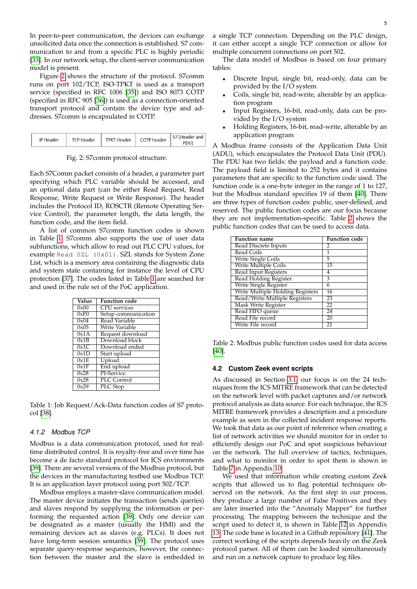In peer-to-peer communication, the devices can exchange unsolicited data once the connection is established. S7 communication to and from a specific PLC is highly periodic [\[33\]](#page-9-13). In our network setup, the client-server communication model is present.

Figure [2](#page-4-0) shows the structure of the protocol. S7comm runs on port 102/TCP, ISO-TPKT is used as a transport service (specified in RFC 1006 [\[35\]](#page-9-15)) and ISO 8073 COTP (specified in RFC 905 [\[36\]](#page-9-16)) is used as a connection-oriented transport protocol and contain the device type and addresses. S7comm is encapsulated in COTP.

<span id="page-4-0"></span>

| COTP header<br><b>TPKT Header</b><br><b>TCP Header</b><br>IP Header | S7 (Header and<br>PDU) |
|---------------------------------------------------------------------|------------------------|
|---------------------------------------------------------------------|------------------------|

Fig. 2: S7comm protocol structure.

Each S7Comm packet consists of a header, a parameter part specifying which PLC variable should be accessed, and an optional data part (can be either Read Request, Read Response, Write Request or Write Response). The header includes the Protocol ID, ROSCTR (Remote Operating Service Control), the parameter length, the data length, the function code, and the item field.

A list of common S7comm function codes is shown in Table [1.](#page-4-1) S7comm also supports the use of user data subfunctions, which allow to read out PLC CPU values, for example Read SZL (0x01). SZL stands for System Zone List, which is a memory area containing the diagnostic data and system state containing for instance the level of CPU protection [\[37\]](#page-9-17). The codes listed in Table [1](#page-4-1) are searched for and used in the rule set of the PoC application.

<span id="page-4-1"></span>

| Value | <b>Function</b> code |
|-------|----------------------|
| 0x00  | <b>CPU</b> services  |
| 0xF0  | Setup communication  |
| 0x04  | Read Variable        |
| 0x05  | Write Variable       |
| 0x1A  | Request download     |
| 0x1B  | Download block       |
| 0x1C  | Download ended       |
| 0x1D  | Start upload         |
| 0x1E  | Upload               |
| 0x1F  | End upload           |
| 0x28  | PI-Service           |
| 0x28  | PLC Control          |
| 0x29  | PLC Stop             |

Table 1: Job Request/Ack-Data function codes of S7 protocol [\[38\]](#page-9-18).

#### *4.1.2 Modbus TCP*

Modbus is a data communication protocol, used for realtime distributed control. It is royalty-free and over time has become a de facto standard protocol for ICS environments [\[39\]](#page-9-19). There are several versions of the Modbus protocol, but the devices in the manufacturing testbed use Modbus TCP. It is an application layer protocol using port 502/TCP.

Modbus employs a master-slave communication model. The master device initiates the transaction (sends queries) and slaves respond by supplying the information or performing the requested action [\[39\]](#page-9-19). Only one device can be designated as a master (usually the HMI) and the remaining devices act as slaves (e.g. PLCs). It does not have long-term session semantics [\[39\]](#page-9-19). The protocol uses separate query-response sequences, however, the connection between the master and the slave is embedded in

a single TCP connection. Depending on the PLC design, it can either accept a single TCP connection or allow for multiple concurrent connections on port 502.

The data model of Modbus is based on four primary tables:

- Discrete Input, single bit, read-only, data can be provided by the I/O system
- Coils, single bit, read-write, alterable by an application program
- Input Registers, 16-bit, read-only, data can be provided by the I/O system
- Holding Registers, 16-bit, read-write, alterable by an application program

A Modbus frame consists of the Application Data Unit (ADU), which encapsulates the Protocol Data Unit (PDU). The PDU has two fields: the payload and a function code. The payload field is limited to 252 bytes and it contains parameters that are specific to the function code used. The function code is a one-byte integer in the range of 1 to 127, but the Modbus standard specifies 19 of them [\[40\]](#page-9-20). There are three types of function codes: public, user-defined, and reserved. The public function codes are our focus because they are not implementation-specific. Table [2](#page-4-2) shows the public function codes that can be used to access data.

<span id="page-4-2"></span>

| Function name                    | <b>Function code</b> |
|----------------------------------|----------------------|
| Read Discrete Inputs             | 2                    |
| Read Coils                       | 1                    |
| <b>Write Single Coils</b>        | 5                    |
| <b>Write Multiple Coils</b>      | 15                   |
| <b>Read Input Registers</b>      | 4                    |
| <b>Read Holding Register</b>     | 3                    |
| Write Single Register            | 6                    |
| Write Multiple Holding Registers | 16                   |
| Read/Write Multiple Registers    | 23                   |
| Mask Write Register              | 22                   |
| Read FIFO queue                  | 24                   |
| Read File record                 | 20                   |
| Write File record                | 21                   |

Table 2: Modbus public function codes used for data access [\[40\]](#page-9-20).

#### **4.2 Custom Zeek event scripts**

As discussed in Section [3.1,](#page-2-1) our focus is on the 24 techniques from the ICS MITRE framework that can be detected on the network level with packet captures and/or network protocol analysis as data source. For each technique, the ICS MITRE framework provides a description and a procedure example as seen in the collected incident response reports. We took that data as our point of reference when creating a list of network activities we should monitor for in order to efficiently design our PoC and spot suspicious behaviour on the network. The full overview of tactics, techniques, and what to monitor in order to spot them is shown in Table [7](#page-11-0) in Appendix [10.](#page-10-0)

We used that information while creating custom Zeek scripts that allowed us to flag potential techniques observed on the network. As the first step in our process, they produce a large number of False Positives and they are later inserted into the "Anomaly Mapper" for further processing. The mapping between the technique and the script used to detect it, is shown in Table [12](#page-14-0) in Appendix [13.](#page-14-1) The code base is located in a Github repository [\[41\]](#page-9-21). The correct working of the scripts depends heavily on the Zeek protocol parser. All of them can be loaded simultaneously and run on a network capture to produce log files.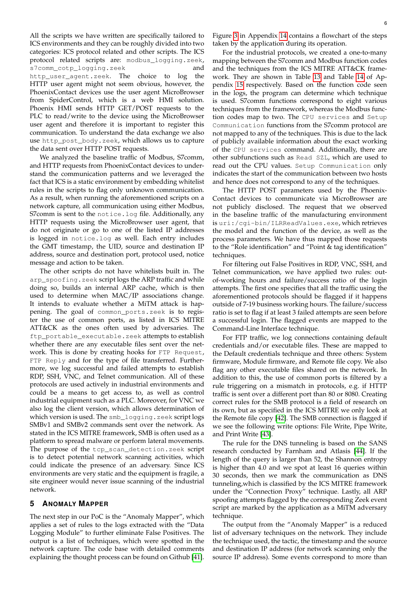All the scripts we have written are specifically tailored to ICS environments and they can be roughly divided into two categories: ICS protocol related and other scripts. The ICS protocol related scripts are: modbus\_logging.zeek, s7comm\_cotp\_logging.zeek and http\_user\_agent.zeek. The choice to log the HTTP user agent might not seem obvious, however, the PhoenixContact devices use the user agent MicroBrowser from SpiderControl, which is a web HMI solution. Phoenix HMI sends HTTP GET/POST requests to the PLC to read/write to the device using the MicroBrowser user agent and therefore it is important to register this communication. To understand the data exchange we also use http\_post\_body.zeek, which allows us to capture the data sent over HTTP POST requests.

We analyzed the baseline traffic of Modbus, S7comm, and HTTP requests from PhoenixContact devices to understand the communication patterns and we leveraged the fact that ICS is a static environment by embedding whitelist rules in the scripts to flag only unknown communication. As a result, when running the aforementioned scripts on a network capture, all communication using either Modbus, S7comm is sent to the notice.log file. Additionally, any HTTP requests using the MicroBrowser user agent, that do not originate or go to one of the listed IP addresses is logged in notice.log as well. Each entry includes the GMT timestamp, the UID, source and destination IP address, source and destination port, protocol used, notice message and action to be taken.

The other scripts do not have whitelists built in. The arp\_spoofing.zeek script logs the ARP traffic and while doing so, builds an internal ARP cache, which is then used to determine when MAC/IP associations change. It intends to evaluate whether a MiTM attack is happening. The goal of common\_ports.zeek is to register the use of common ports, as listed in ICS MITRE ATT&CK as the ones often used by adversaries. The ftp\_portable\_executable.zeek attempts to establish whether there are any executable files sent over the network. This is done by creating hooks for FTP Request, FTP Reply and for the type of file transferred. Furthermore, we log successful and failed attempts to establish RDP, SSH, VNC, and Telnet communication. All of these protocols are used actively in industrial environments and could be a means to get access to, as well as control industrial equipment such as a PLC. Moreover, for VNC we also log the client version, which allows determination of which version is used. The smb\_logging.zeek script logs SMBv1 and SMBv2 commands sent over the network. As stated in the ICS MITRE framework, SMB is often used as a platform to spread malware or perform lateral movements. The purpose of the tcp\_scan\_detection.zeek script is to detect potential network scanning activities, which could indicate the presence of an adversary. Since ICS environments are very static and the equipment is fragile, a site engineer would never issue scanning of the industrial network.

#### <span id="page-5-0"></span>**5 ANOMALY MAPPER**

The next step in our PoC is the "Anomaly Mapper", which applies a set of rules to the logs extracted with the "Data Logging Module" to further eliminate False Positives. The output is a list of techniques, which were spotted in the network capture. The code base with detailed comments explaining the thought process can be found on Github [\[41\]](#page-9-21).

Figure [3](#page-15-0) in Appendix [14](#page-15-1) contains a flowchart of the steps taken by the application during its operation.

For the industrial protocols, we created a one-to-many mapping between the S7comm and Modbus function codes and the techniques from the ICS MITRE ATT&CK framework. They are shown in Table [13](#page-16-0) and Table [14](#page-16-1) of Appendix [15](#page-16-2) respectively. Based on the function code seen in the logs, the program can determine which technique is used. S7comm functions correspond to eight various techniques from the framework, whereas the Modbus function codes map to two. The CPU services and Setup Communication functions from the S7comm protocol are not mapped to any of the techniques. This is due to the lack of publicly available information about the exact working of the CPU services command. Additionally, there are other subfunctions such as Read SZL, which are used to read out the CPU values. Setup Communication only indicates the start of the communication between two hosts and hence does not correspond to any of the techniques.

The HTTP POST parameters used by the Phoenix-Contact devices to communicate via MicroBrowser are not publicly disclosed. The request that we observed in the baseline traffic of the manufacturing environment is uri:/cgi-bin/ILRReadValues.exe, which retrieves the model and the function of the device, as well as the process parameters. We have thus mapped those requests to the "Role identification" and "Point & tag identification" techniques.

For filtering out False Positives in RDP, VNC, SSH, and Telnet communication, we have applied two rules: outof-working hours and failure/success ratio of the login attempts. The first one specifies that all the traffic using the aforementioned protocols should be flagged if it happens outside of 7-19 business working hours. The failure/success ratio is set to flag if at least 3 failed attempts are seen before a successful login. The flagged events are mapped to the Command-Line Interface technique.

For FTP traffic, we log connections containing default credentials and/or executable files. These are mapped to the Default credentials technique and three others: System firmware, Module firmware, and Remote file copy. We also flag any other executable files shared on the network. In addition to this, the use of common ports is filtered by a rule triggering on a mismatch in protocols, e.g. if HTTP traffic is sent over a different port than 80 or 8080. Creating correct rules for the SMB protocol is a field of research on its own, but as specified in the ICS MITRE we only look at the Remote file copy [\[42\]](#page-9-22). The SMB connection is flagged if we see the following write options: File Write, Pipe Write, and Print Write [\[43\]](#page-9-23).

The rule for the DNS tunneling is based on the SANS research conducted by Farnham and Atlasis [\[44\]](#page-9-24). If the length of the query is larger than 52, the Shannon entropy is higher than 4.0 and we spot at least 16 queries within 30 seconds, then we mark the communication as DNS tunneling,which is classified by the ICS MITRE framework under the "Connection Proxy" technique. Lastly, all ARP spoofing attempts flagged by the corresponding Zeek event script are marked by the application as a MiTM adversary technique.

The output from the "Anomaly Mapper" is a reduced list of adversary techniques on the network. They include the technique used, the tactic, the timestamp and the source and destination IP address (for network scanning only the source IP address). Some events correspond to more than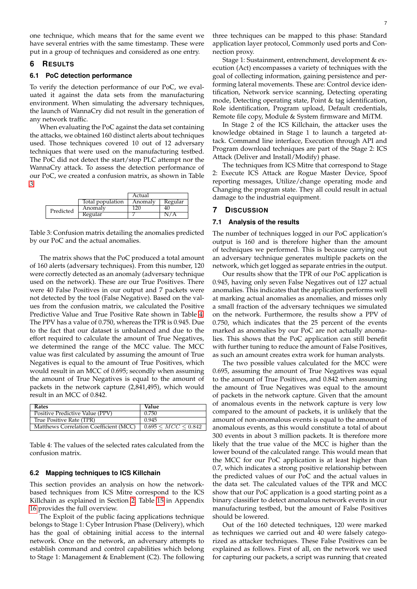one technique, which means that for the same event we have several entries with the same timestamp. These were put in a group of techniques and considered as one entry.

#### <span id="page-6-0"></span>**6 RESULTS**

#### **6.1 PoC detection performance**

To verify the detection performance of our PoC, we evaluated it against the data sets from the manufacturing environment. When simulating the adversary techniques, the launch of WannaCry did not result in the generation of any network traffic.

When evaluating the PoC against the data set containing the attacks, we obtained 160 distinct alerts about techniques used. Those techniques covered 10 out of 12 adversary techniques that were used on the manufacturing testbed. The PoC did not detect the start/stop PLC attempt nor the WannaCry attack. To assess the detection performance of our PoC, we created a confusion matrix, as shown in Table [3.](#page-6-2)

<span id="page-6-2"></span>

|           |         |                  | Actual  |         |
|-----------|---------|------------------|---------|---------|
|           |         | Total population | Anomaly | Regular |
| Predicted | Anomaly | 120              | 40      |         |
|           |         | Regular          |         | N/A     |

Table 3: Confusion matrix detailing the anomalies predicted by our PoC and the actual anomalies.

The matrix shows that the PoC produced a total amount of 160 alerts (adversary techniques). From this number, 120 were correctly detected as an anomaly (adversary technique used on the network). These are our True Positives. There were 40 False Positives in our output and 7 packets were not detected by the tool (False Negative). Based on the values from the confusion matrix, we calculated the Positive Predictive Value and True Positive Rate shown in Table [4.](#page-6-3) The PPV has a value of 0.750, whereas the TPR is 0.945. Due to the fact that our dataset is unbalanced and due to the effort required to calculate the amount of True Negatives, we determined the range of the MCC value. The MCC value was first calculated by assuming the amount of True Negatives is equal to the amount of True Positives, which would result in an MCC of 0.695; secondly when assuming the amount of True Negatives is equal to the amount of packets in the network capture (2,841,495), which would result in an MCC of 0.842.

<span id="page-6-3"></span>

| Rates                                  | Value                       |
|----------------------------------------|-----------------------------|
| Positive Predictive Value (PPV)        | 0.750                       |
| True Positive Rate (TPR)               | 0.945                       |
| Matthews Correlation Coefficient (MCC) | $0.695 \leq MCC \leq 0.842$ |

Table 4: The values of the selected rates calculated from the confusion matrix.

#### **6.2 Mapping techniques to ICS Killchain**

This section provides an analysis on how the networkbased techniques from ICS Mitre correspond to the ICS Killchain as explained in Section [2.](#page-1-1) Table [15](#page-17-0) in Appendix [16](#page-17-1) provides the full overview.

The Exploit of the public facing applications technique belongs to Stage 1: Cyber Intrusion Phase (Delivery), which has the goal of obtaining initial access to the internal network. Once on the network, an adversary attempts to establish command and control capabilities which belong to Stage 1: Management & Enablement (C2). The following

three techniques can be mapped to this phase: Standard application layer protocol, Commonly used ports and Connection proxy.

Stage 1: Sustainment, entrenchment, development & execution (Act) encompasses a variety of techniques with the goal of collecting information, gaining persistence and performing lateral movements. These are: Control device identification, Network service scanning, Detecting operating mode, Detecting operating state, Point & tag identification, Role identification, Program upload, Default credentials, Remote file copy, Module & System firmware and MiTM.

In Stage 2 of the ICS Killchain, the attacker uses the knowledge obtained in Stage 1 to launch a targeted attack. Command line interface, Execution through API and Program download techniques are part of the Stage 2: ICS Attack (Deliver and Install/Modify) phase.

The techniques from ICS Mitre that correspond to Stage 2: Execute ICS Attack are Rogue Master Device, Spoof reporting messages, Utilize/change operating mode and Changing the program state. They all could result in actual damage to the industrial equipment.

#### <span id="page-6-1"></span>**7 DISCUSSION**

#### **7.1 Analysis of the results**

The number of techniques logged in our PoC application's output is 160 and is therefore higher than the amount of techniques we performed. This is because carrying out an adversary technique generates multiple packets on the network, which get logged as separate entries in the output.

Our results show that the TPR of our PoC application is 0.945, having only seven False Negatives out of 127 actual anomalies. This indicates that the application performs well at marking actual anomalies as anomalies, and misses only a small fraction of the adversary techniques we simulated on the network. Furthermore, the results show a PPV of 0.750, which indicates that the 25 percent of the events marked as anomalies by our PoC are not actually anomalies. This shows that the PoC application can still benefit with further tuning to reduce the amount of False Positives, as such an amount creates extra work for human analysts.

The two possible values calculated for the MCC were 0.695, assuming the amount of True Negatives was equal to the amount of True Positives, and 0.842 when assuming the amount of True Negatives was equal to the amount of packets in the network capture. Given that the amount of anomalous events in the network capture is very low compared to the amount of packets, it is unlikely that the amount of non-anomalous events is equal to the amount of anomalous events, as this would constitute a total of about 300 events in about 3 million packets. It is therefore more likely that the true value of the MCC is higher than the lower bound of the calculated range. This would mean that the MCC for our PoC application is at least higher than 0.7, which indicates a strong positive relationship between the predicted values of our PoC and the actual values in the data set. The calculated values of the TPR and MCC show that our PoC application is a good starting point as a binary classifier to detect anomalous network events in our manufacturing testbed, but the amount of False Positives should be lowered.

Out of the 160 detected techniques, 120 were marked as techniques we carried out and 40 were falsely categorized as attacker techniques. These False Positives can be explained as follows. First of all, on the network we used for capturing our packets, a script was running that created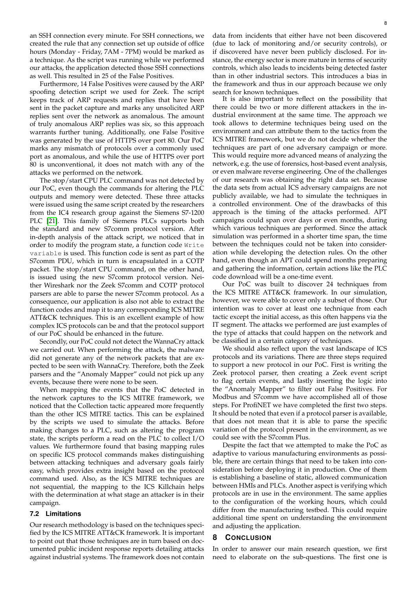an SSH connection every minute. For SSH connections, we created the rule that any connection set up outside of office hours (Monday - Friday, 7AM - 7PM) would be marked as a technique. As the script was running while we performed our attacks, the application detected those SSH connections as well. This resulted in 25 of the False Positives.

Furthermore, 14 False Positives were caused by the ARP spoofing detection script we used for Zeek. The script keeps track of ARP requests and replies that have been sent in the packet capture and marks any unsolicited ARP replies sent over the network as anomalous. The amount of truly anomalous ARP replies was six, so this approach warrants further tuning. Additionally, one False Positive was generated by the use of HTTPS over port 80. Our PoC marks any mismatch of protocols over a commonly used port as anomalous, and while the use of HTTPS over port 80 is unconventional, it does not match with any of the attacks we performed on the network.

The stop/start CPU PLC command was not detected by our PoC, even though the commands for altering the PLC outputs and memory were detected. These three attacks were issued using the same script created by the researchers from the IC4 research group against the Siemens S7-1200 PLC [\[21\]](#page-9-1). This family of Siemens PLCs supports both the standard and new S7comm protocol version. After in-depth analysis of the attack script, we noticed that in order to modify the program state, a function code Write variable is used. This function code is sent as part of the S7comm PDU, which in turn is encapsulated in a COTP packet. The stop/start CPU command, on the other hand, is issued using the new S7comm protocol version. Neither Wireshark nor the Zeek S7comm and COTP protocol parsers are able to parse the newer S7comm protocol. As a consequence, our application is also not able to extract the function codes and map it to any corresponding ICS MITRE ATT&CK techniques. This is an excellent example of how complex ICS protocols can be and that the protocol support of our PoC should be enhanced in the future.

Secondly, our PoC could not detect the WannaCry attack we carried out. When performing the attack, the malware did not generate any of the network packets that are expected to be seen with WannaCry. Therefore, both the Zeek parsers and the "Anomaly Mapper" could not pick up any events, because there were none to be seen.

When mapping the events that the PoC detected in the network captures to the ICS MITRE framework, we noticed that the Collection tactic appeared more frequently than the other ICS MITRE tactics. This can be explained by the scripts we used to simulate the attacks. Before making changes to a PLC, such as altering the program state, the scripts perform a read on the PLC to collect I/O values. We furthermore found that basing mapping rules on specific ICS protocol commands makes distinguishing between attacking techniques and adversary goals fairly easy, which provides extra insight based on the protocol command used. Also, as the ICS MITRE techniques are not sequential, the mapping to the ICS Killchain helps with the determination at what stage an attacker is in their campaign.

#### **7.2 Limitations**

Our research methodology is based on the techniques specified by the ICS MITRE ATT&CK framework. It is important to point out that those techniques are in turn based on documented public incident response reports detailing attacks against industrial systems. The framework does not contain

data from incidents that either have not been discovered (due to lack of monitoring and/or security controls), or if discovered have never been publicly disclosed. For instance, the energy sector is more mature in terms of security controls, which also leads to incidents being detected faster than in other industrial sectors. This introduces a bias in the framework and thus in our approach because we only search for known techniques.

It is also important to reflect on the possibility that there could be two or more different attackers in the industrial environment at the same time. The approach we took allows to determine techniques being used on the environment and can attribute them to the tactics from the ICS MITRE framework, but we do not decide whether the techniques are part of one adversary campaign or more. This would require more advanced means of analyzing the network, e.g. the use of forensics, host-based event analysis, or even malware reverse engineering. One of the challenges of our research was obtaining the right data set. Because the data sets from actual ICS adversary campaigns are not publicly available, we had to simulate the techniques in a controlled environment. One of the drawbacks of this approach is the timing of the attacks performed. APT campaigns could span over days or even months, during which various techniques are performed. Since the attack simulation was performed in a shorter time span, the time between the techniques could not be taken into consideration while developing the detection rules. On the other hand, even though an APT could spend months preparing and gathering the information, certain actions like the PLC code download will be a one-time event.

Our PoC was built to discover 24 techniques from the ICS MITRE ATT&CK framework. In our simulation, however, we were able to cover only a subset of those. Our intention was to cover at least one technique from each tactic except the initial access, as this often happens via the IT segment. The attacks we performed are just examples of the type of attacks that could happen on the network and be classified in a certain category of techniques.

We should also reflect upon the vast landscape of ICS protocols and its variations. There are three steps required to support a new protocol in our PoC. First is writing the Zeek protocol parser, then creating a Zeek event script to flag certain events, and lastly inserting the logic into the "Anomaly Mapper" to filter out False Positives. For Modbus and S7comm we have accomplished all of those steps. For ProfiNET we have completed the first two steps. It should be noted that even if a protocol parser is available, that does not mean that it is able to parse the specific variation of the protocol present in the environment, as we could see with the S7comm Plus.

Despite the fact that we attempted to make the PoC as adaptive to various manufacturing environments as possible, there are certain things that need to be taken into consideration before deploying it in production. One of them is establishing a baseline of static, allowed communication between HMIs and PLCs. Another aspect is verifying which protocols are in use in the environment. The same applies to the configuration of the working hours, which could differ from the manufacturing testbed. This could require additional time spent on understanding the environment and adjusting the application.

#### <span id="page-7-0"></span>**8 CONCLUSION**

In order to answer our main research question, we first need to elaborate on the sub-questions. The first one is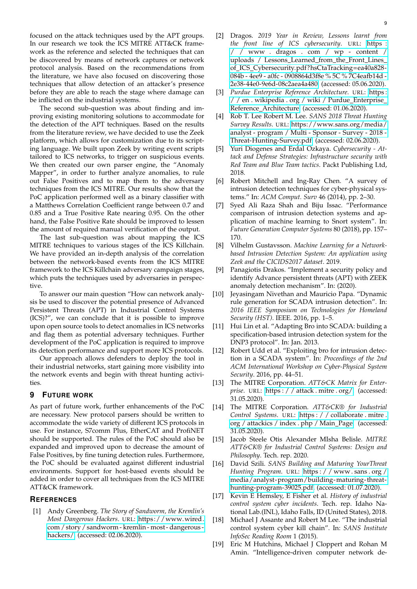focused on the attack techniques used by the APT groups. In our research we took the ICS MITRE ATT&CK framework as the reference and selected the techniques that can be discovered by means of network captures or network protocol analysis. Based on the recommendations from the literature, we have also focused on discovering those techniques that allow detection of an attacker's presence before they are able to reach the stage where damage can be inflicted on the industrial systems.

The second sub-question was about finding and improving existing monitoring solutions to accommodate for the detection of the APT techniques. Based on the results from the literature review, we have decided to use the Zeek platform, which allows for customization due to its scripting language. We built upon Zeek by writing event scripts tailored to ICS networks, to trigger on suspicious events. We then created our own parser engine, the "Anomaly Mapper", in order to further analyze anomalies, to rule out False Positives and to map them to the adversary techniques from the ICS MITRE. Our results show that the PoC application performed well as a binary classifier with a Matthews Correlation Coefficient range between 0.7 and 0.85 and a True Positive Rate nearing 0.95. On the other hand, the False Positive Rate should be improved to lessen the amount of required manual verification of the output.

The last sub-question was about mapping the ICS MITRE techniques to various stages of the ICS Killchain. We have provided an in-depth analysis of the correlation between the network-based events from the ICS MITRE framework to the ICS Killchain adversary campaign stages, which puts the techniques used by adversaries in perspective.

To answer our main question "How can network analysis be used to discover the potential presence of Advanced Persistent Threats (APT) in Industrial Control Systems (ICS)?", we can conclude that it is possible to improve upon open source tools to detect anomalies in ICS networks and flag them as potential adversary techniques. Further development of the PoC application is required to improve its detection performance and support more ICS protocols.

Our approach allows defenders to deploy the tool in their industrial networks, start gaining more visibility into the network events and begin with threat hunting activities.

### <span id="page-8-5"></span>**9 FUTURE WORK**

As part of future work, further enhancements of the PoC are necessary. New protocol parsers should be written to accommodate the wide variety of different ICS protocols in use. For instance, S7comm Plus, EtherCAT and ProfiNET should be supported. The rules of the PoC should also be expanded and improved upon to decrease the amount of False Positives, by fine tuning detection rules. Furthermore, the PoC should be evaluated against different industrial environments. Support for host-based events should be added in order to cover all techniques from the ICS MITRE ATT&CK framework.

#### **REFERENCES**

<span id="page-8-0"></span>[1] Andy Greenberg. *The Story of Sandworm, the Kremlin's Most Dangerous Hackers*. URL: [https://www.wired.](https://www.wired.com/story/sandworm-kremlin-most-dangerous-hackers/) [com / story / sandworm - kremlin - most - dangerous](https://www.wired.com/story/sandworm-kremlin-most-dangerous-hackers/)  [hackers/.](https://www.wired.com/story/sandworm-kremlin-most-dangerous-hackers/) (accessed: 02.06.2020).

- <span id="page-8-1"></span>[2] Dragos. *2019 Year in Review, Lessons learnt from the front line of ICS cybersecurity*. URL: [https :](https://www.dragos.com/wp-content/uploads/Lessons_Learned_from_the_Front_Lines_of_ICS_Cybersecurity.pdf?hsCtaTracking=ea40a828-084b-4ee9-a0fc-0908864d3f8e%5C%7C4eafb14d-2e38-44e0-9e6d-08c2aea4a480) [/ / www . dragos . com / wp - content /](https://www.dragos.com/wp-content/uploads/Lessons_Learned_from_the_Front_Lines_of_ICS_Cybersecurity.pdf?hsCtaTracking=ea40a828-084b-4ee9-a0fc-0908864d3f8e%5C%7C4eafb14d-2e38-44e0-9e6d-08c2aea4a480) [uploads / Lessons](https://www.dragos.com/wp-content/uploads/Lessons_Learned_from_the_Front_Lines_of_ICS_Cybersecurity.pdf?hsCtaTracking=ea40a828-084b-4ee9-a0fc-0908864d3f8e%5C%7C4eafb14d-2e38-44e0-9e6d-08c2aea4a480) Learned from the Front Lines of ICS [Cybersecurity.pdf?hsCtaTracking=ea40a828-](https://www.dragos.com/wp-content/uploads/Lessons_Learned_from_the_Front_Lines_of_ICS_Cybersecurity.pdf?hsCtaTracking=ea40a828-084b-4ee9-a0fc-0908864d3f8e%5C%7C4eafb14d-2e38-44e0-9e6d-08c2aea4a480) [084b - 4ee9 - a0fc - 0908864d3f8e % 5C % 7C4eafb14d -](https://www.dragos.com/wp-content/uploads/Lessons_Learned_from_the_Front_Lines_of_ICS_Cybersecurity.pdf?hsCtaTracking=ea40a828-084b-4ee9-a0fc-0908864d3f8e%5C%7C4eafb14d-2e38-44e0-9e6d-08c2aea4a480) [2e38-44e0-9e6d-08c2aea4a480.](https://www.dragos.com/wp-content/uploads/Lessons_Learned_from_the_Front_Lines_of_ICS_Cybersecurity.pdf?hsCtaTracking=ea40a828-084b-4ee9-a0fc-0908864d3f8e%5C%7C4eafb14d-2e38-44e0-9e6d-08c2aea4a480) (accessed: 05.06.2020).
- <span id="page-8-2"></span>[3] *Purdue Enterprise Reference Architecture*. URL: [https :](https://en.wikipedia.org/wiki/Purdue_Enterprise_Reference_Architecture) [/ / en . wikipedia . org / wiki / Purdue](https://en.wikipedia.org/wiki/Purdue_Enterprise_Reference_Architecture)\_Enterprise\_ Reference [Architecture.](https://en.wikipedia.org/wiki/Purdue_Enterprise_Reference_Architecture) (accessed: 01.06.2020).
- <span id="page-8-3"></span>[4] Rob T. Lee Robert M. Lee. *SANS 2018 Threat Hunting Survey Results*. URL: [https://www.sans.org/media/](https://www.sans.org/media/analyst-program/Multi-Sponsor-Survey-2018-Threat-Hunting-Survey.pdf) [analyst - program / Multi - Sponsor - Survey - 2018 -](https://www.sans.org/media/analyst-program/Multi-Sponsor-Survey-2018-Threat-Hunting-Survey.pdf) [Threat-Hunting-Survey.pdf.](https://www.sans.org/media/analyst-program/Multi-Sponsor-Survey-2018-Threat-Hunting-Survey.pdf) (accessed: 02.06.2020).
- <span id="page-8-4"></span>[5] Yuri Diogenes and Erdal Ozkaya. *Cybersecurity - Attack and Defense Strategies: Infrastructure security with Red Team and Blue Team tactics*. Packt Publishing Ltd, 2018.
- <span id="page-8-6"></span>[6] Robert Mitchell and Ing-Ray Chen. "A survey of intrusion detection techniques for cyber-physical systems." In: *ACM Comput. Surv* 46 (2014), pp. 2–30.
- <span id="page-8-7"></span>[7] Syed Ali Raza Shah and Biju Issac. "Performance comparison of intrusion detection systems and application of machine learning to Snort system". In: *Future Generation Computer Systems* 80 (2018), pp. 157– 170.
- <span id="page-8-8"></span>[8] Vilhelm Gustavsson. *Machine Learning for a Networkbased Intrusion Detection System: An application using Zeek and the CICIDS2017 dataset*. 2019.
- <span id="page-8-9"></span>[9] Panagiotis Drakos. "Implement a security policy and identify Advance persistent threats (APT) with ZEEK anomaly detection mechanism". In: (2020).
- <span id="page-8-10"></span>[10] Jeyasingam Nivethan and Mauricio Papa. "Dynamic rule generation for SCADA intrusion detection". In: *2016 IEEE Symposium on Technologies for Homeland Security (HST)*. IEEE. 2016, pp. 1–5.
- <span id="page-8-11"></span>[11] Hui Lin et al. "Adapting Bro into SCADA: building a specification-based intrusion detection system for the DNP3 protocol". In: Jan. 2013.
- <span id="page-8-12"></span>[12] Robert Udd et al. "Exploiting bro for intrusion detection in a SCADA system". In: *Proceedings of the 2nd ACM International Workshop on Cyber-Physical System Security*. 2016, pp. 44–51.
- <span id="page-8-13"></span>[13] The MITRE Corporation. *ATT&CK Matrix for Enterprise*. URL: [https : / / attack . mitre . org/.](https://attack.mitre.org/) (accessed: 31.05.2020).
- <span id="page-8-14"></span>[14] The MITRE Corporation. *ATT&CK® for Industrial Control Systems*. URL: [https : / / collaborate . mitre .](https://collaborate.mitre.org/attackics/index.php/Main_Page) [org / attackics / index . php / Main](https://collaborate.mitre.org/attackics/index.php/Main_Page) Page. (accessed: 31.05.2020).
- <span id="page-8-15"></span>[15] Jacob Steele Otis Alexander MIsha Belisle. *MITRE ATT&CK® for Industrial Control Systems: Design and Philosophy*. Tech. rep. 2020.
- <span id="page-8-16"></span>[16] David Szili. *SANS Building and Maturing YourThreat Hunting Program*. URL: [https : / / www . sans . org /](https://www.sans.org/media/analyst-program/building-maturing-threat-hunting-program-39025.pdf) [media/analyst-program/building-maturing- threat](https://www.sans.org/media/analyst-program/building-maturing-threat-hunting-program-39025.pdf)[hunting-program-39025.pdf.](https://www.sans.org/media/analyst-program/building-maturing-threat-hunting-program-39025.pdf) (accessed: 01.07.2020).
- <span id="page-8-17"></span>[17] Kevin E Hemsley, E Fisher et al. *History of industrial control system cyber incidents*. Tech. rep. Idaho National Lab.(INL), Idaho Falls, ID (United States), 2018.
- <span id="page-8-18"></span>[18] Michael J Assante and Robert M Lee. "The industrial control system cyber kill chain". In: *SANS Institute InfoSec Reading Room* 1 (2015).
- <span id="page-8-19"></span>[19] Eric M Hutchins, Michael J Cloppert and Rohan M Amin. "Intelligence-driven computer network de-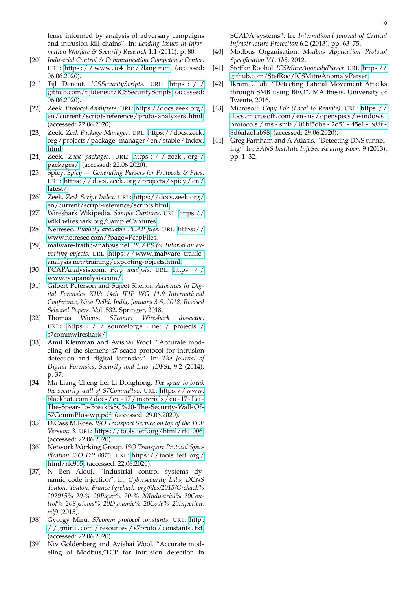fense informed by analysis of adversary campaigns and intrusion kill chains". In: *Leading Issues in Information Warfare & Security Research* 1.1 (2011), p. 80.

- <span id="page-9-0"></span>[20] *Industrial Control & Communication Competence Center*. URL: https : / / www.ic4.be / ?lang = en. (accessed: 06.06.2020).
- <span id="page-9-1"></span>[21] Tijl Deneut. *ICSSecurityScripts*. URL: [https : / /](https://github.com/tijldeneut/ICSSecurityScripts) [github.com/tijldeneut/ICSSecurityScripts.](https://github.com/tijldeneut/ICSSecurityScripts) (accessed: 06.06.2020).
- <span id="page-9-2"></span>[22] Zeek. *Protocol Analyzers*. URL: [https://docs.zeek.org/](https://docs.zeek.org/en/current/script-reference/proto-analyzers.html) [en/current/script- reference/proto- analyzers.html.](https://docs.zeek.org/en/current/script-reference/proto-analyzers.html) (accessed: 22.06.2020).
- <span id="page-9-3"></span>[23] Zeek. *Zeek Package Manager*. URL: [https://docs.zeek.](https://docs.zeek.org/projects/package-manager/en/stable/index.html) [org/projects/package - manager/en/stable/index.](https://docs.zeek.org/projects/package-manager/en/stable/index.html) [html.](https://docs.zeek.org/projects/package-manager/en/stable/index.html)
- <span id="page-9-4"></span>[24] Zeek. *Zeek packages*. URL: [https : / / zeek . org /](https://zeek.org/packages/) [packages/.](https://zeek.org/packages/) (accessed: 22.06.2020).
- <span id="page-9-5"></span>[25] Spicy. *Spicy — Generating Parsers for Protocols & Files*. URL: [https : / / docs . zeek . org / projects / spicy / en /](https://docs.zeek.org/projects/spicy/en/latest/) [latest/.](https://docs.zeek.org/projects/spicy/en/latest/)
- <span id="page-9-6"></span>[26] Zeek. *Zeek Script Index*. URL: [https://docs.zeek.org/](https://docs.zeek.org/en/current/script-reference/scripts.html) [en/current/script-reference/scripts.html.](https://docs.zeek.org/en/current/script-reference/scripts.html)
- <span id="page-9-7"></span>[27] Wireshark Wikipedia. *Sample Captures*. URL: [https://](https://wiki.wireshark.org/SampleCaptures) [wiki.wireshark.org/SampleCaptures.](https://wiki.wireshark.org/SampleCaptures)
- <span id="page-9-8"></span>[28] Netresec. *Publicly available PCAP files*. URL: [https://](https://www.netresec.com/?page=PcapFiles) [www.netresec.com/?page=PcapFiles.](https://www.netresec.com/?page=PcapFiles)
- <span id="page-9-9"></span>[29] malware-traffic-analysis.net. *PCAPS for tutorial on exporting objects*. URL: [https://www.malware - traffic](https://www.malware-traffic-analysis.net/training/exporting-objects.html)  [analysis.net/training/exporting-objects.html.](https://www.malware-traffic-analysis.net/training/exporting-objects.html)
- <span id="page-9-10"></span>[30] PCAPAnalysis.com. *Pcap analysis*. URL: [https : / /](https://www.pcapanalysis.com/) [www.pcapanalysis.com/.](https://www.pcapanalysis.com/)
- <span id="page-9-11"></span>[31] Gilbert Peterson and Sujeet Shenoi. *Advances in Digital Forensics XIV: 14th IFIP WG 11.9 International Conference, New Delhi, India, January 3-5, 2018, Revised Selected Papers*. Vol. 532. Springer, 2018.
- <span id="page-9-12"></span>[32] Thomas Wiens. *S7comm Wireshark dissector*. URL: [https : / / sourceforge . net / projects /](https://sourceforge.net/projects/s7commwireshark/) [s7commwireshark/.](https://sourceforge.net/projects/s7commwireshark/)
- <span id="page-9-13"></span>[33] Amit Kleinman and Avishai Wool. "Accurate modeling of the siemens s7 scada protocol for intrusion detection and digital forensics". In: *The Journal of Digital Forensics, Security and Law: JDFSL* 9.2 (2014), p. 37.
- <span id="page-9-14"></span>[34] Ma Liang Cheng Lei Li Donghong. *The spear to break the security wall of S7CommPlus*. URL: [https://www.](https://www.blackhat.com/docs/eu-17/materials/eu-17-Lei-The-Spear-To-Break%5C%20-The-Security-Wall-Of-S7CommPlus-wp.pdf) [blackhat. com/docs/ eu - 17/materials/ eu - 17 - Lei -](https://www.blackhat.com/docs/eu-17/materials/eu-17-Lei-The-Spear-To-Break%5C%20-The-Security-Wall-Of-S7CommPlus-wp.pdf) [The-Spear-To-Break%5C%20-The-Security-Wall-Of-](https://www.blackhat.com/docs/eu-17/materials/eu-17-Lei-The-Spear-To-Break%5C%20-The-Security-Wall-Of-S7CommPlus-wp.pdf)[S7CommPlus-wp.pdf.](https://www.blackhat.com/docs/eu-17/materials/eu-17-Lei-The-Spear-To-Break%5C%20-The-Security-Wall-Of-S7CommPlus-wp.pdf) (accessed: 29.06.2020).
- <span id="page-9-15"></span>[35] D.Cass M.Rose. *ISO Transport Service on top of the TCP Version: 3*. URL: [https://tools.ietf.org/html/rfc1006.](https://tools.ietf.org/html/rfc1006) (accessed: 22.06.2020).
- <span id="page-9-16"></span>[36] Network Working Group. *ISO Transport Protocol Specification ISO DP 8073*. URL: [https:// tools.ietf. org/](https://tools.ietf.org/html/rfc905) [html/rfc905.](https://tools.ietf.org/html/rfc905) (accessed: 22.06.2020).
- <span id="page-9-17"></span>[37] N Ben Aloui. "Industrial control systems dynamic code injection". In: *Cybersecurity Labs, DCNS Toulon, Toulon, France (grehack. org/files/2015/Grehack% 202015% 20-% 20Paper% 20-% 20Industrial% 20Control% 20Systems% 20Dynamic% 20Code% 20Injection. pdf)* (2015).
- <span id="page-9-18"></span>[38] Gyorgy Miru. *S7comm protocol constants*. URL: [http :](http://gmiru.com/resources/s7proto/constants.txt) [/ / gmiru . com / resources / s7proto / constants . txt.](http://gmiru.com/resources/s7proto/constants.txt) (accessed: 22.06.2020).
- <span id="page-9-19"></span>[39] Niv Goldenberg and Avishai Wool. "Accurate modeling of Modbus/TCP for intrusion detection in

SCADA systems". In: *International Journal of Critical Infrastructure Protection* 6.2 (2013), pp. 63–75.

- <span id="page-9-20"></span>[40] Modbus Organisation. *Modbus Application Protocol Specification V1. 1b3*. 2012.
- <span id="page-9-21"></span>[41] Steffan Roobol. *ICSMitreAnomalyParser*. URL: [https://](https://github.com/StefRoo/ICSMitreAnomalyParser) [github.com/StefRoo/ICSMitreAnomalyParser.](https://github.com/StefRoo/ICSMitreAnomalyParser)
- <span id="page-9-22"></span>[42] Ikram Ullah. "Detecting Lateral Movement Attacks through SMB using BRO". MA thesis. University of Twente, 2016.
- <span id="page-9-23"></span>[43] Microsoft. *Copy File (Local to Remote)*. URL: [https://](https://docs.microsoft.com/en-us/openspecs/windows_protocols/ms-smb/01bf5dbe-2d51-45e1-b88f-8d6afac1ab98) docs . microsoft . com / en - us / openspecs / windows\_ [protocols / ms - smb / 01bf5dbe - 2d51 - 45e1 - b88f -](https://docs.microsoft.com/en-us/openspecs/windows_protocols/ms-smb/01bf5dbe-2d51-45e1-b88f-8d6afac1ab98) [8d6afac1ab98.](https://docs.microsoft.com/en-us/openspecs/windows_protocols/ms-smb/01bf5dbe-2d51-45e1-b88f-8d6afac1ab98) (accessed: 29.06.2020).
- <span id="page-9-24"></span>[44] Greg Farnham and A Atlasis. "Detecting DNS tunneling". In: *SANS Institute InfoSec Reading Room* 9 (2013), pp. 1–32.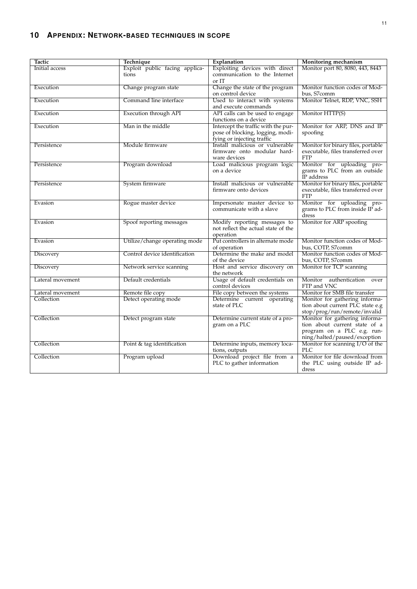<span id="page-10-0"></span>

| Tactic                         | Technique                                 | Explanation                                                   | <b>Monitoring mechanism</b>                                              |
|--------------------------------|-------------------------------------------|---------------------------------------------------------------|--------------------------------------------------------------------------|
| Initial access                 | Exploit public facing applica-            | Exploiting devices with direct                                | Monitor port 80, 8080, 443, 8443                                         |
|                                | tions                                     | communication to the Internet                                 |                                                                          |
|                                |                                           | or IT                                                         |                                                                          |
| Execution                      | Change program state                      | Change the state of the program                               | Monitor function codes of Mod-                                           |
|                                |                                           | on control device                                             | bus, S7comm                                                              |
| Execution                      | Command line interface                    | Used to interact with systems                                 | Monitor Telnet, RDP, VNC, SSH                                            |
|                                |                                           | and execute commands                                          |                                                                          |
| Execution                      | Execution through API                     | API calls can be used to engage                               | Monitor HTTP(S)                                                          |
|                                |                                           | functions on a device                                         |                                                                          |
| Execution                      | Man in the middle                         | Intercept the traffic with the pur-                           | Monitor for ARP, DNS and IP                                              |
|                                |                                           | pose of blocking, logging, modi-                              | spoofing                                                                 |
|                                | Module firmware                           | fying or injecting traffic<br>Install malicious or vulnerable |                                                                          |
| Persistence                    |                                           | firmware onto modular hard-                                   | Monitor for binary files, portable<br>executable, files transferred over |
|                                |                                           | ware devices                                                  | <b>FTP</b>                                                               |
| Persistence                    | Program download                          | Load malicious program logic                                  | Monitor for uploading pro-                                               |
|                                |                                           | on a device                                                   | grams to PLC from an outside                                             |
|                                |                                           |                                                               | IP address                                                               |
| Persistence                    | System firmware                           | Install malicious or vulnerable                               | Monitor for binary files, portable                                       |
|                                |                                           | firmware onto devices                                         | executable, files transferred over                                       |
|                                |                                           |                                                               | <b>FTP</b>                                                               |
| Evasion                        | Rogue master device                       | Impersonate master device to                                  | Monitor for uploading pro-                                               |
|                                |                                           | communicate with a slave                                      | grams to PLC from inside IP ad-                                          |
|                                |                                           |                                                               | dress                                                                    |
| Evasion                        | Spoof reporting messages                  | Modify reporting messages to                                  | Monitor for ARP spoofing                                                 |
|                                |                                           | not reflect the actual state of the                           |                                                                          |
|                                |                                           | operation                                                     |                                                                          |
| Evasion                        | Utilize/change operating mode             | Put controllers in alternate mode                             | Monitor function codes of Mod-                                           |
|                                |                                           | of operation                                                  | bus, COTP, S7comm                                                        |
| Discovery                      | Control device identification             | Determine the make and model                                  | Monitor function codes of Mod-                                           |
|                                |                                           | of the device                                                 | bus, COTP, S7comm                                                        |
| Discovery                      | Network service scanning                  | Host and service discovery on                                 | Monitor for TCP scanning                                                 |
|                                |                                           | the network                                                   |                                                                          |
| Lateral movement               | Default credentials                       | Usage of default credentials on                               | Monitor<br>authentication<br>over                                        |
|                                |                                           | control devices                                               | FTP and VNC<br>Monitor for SMB file transfer                             |
| Lateral movement<br>Collection | Remote file copy<br>Detect operating mode | File copy between the systems<br>Determine current operating  |                                                                          |
|                                |                                           | state of PLC                                                  | Monitor for gathering informa-<br>tion about current PLC state e.g       |
|                                |                                           |                                                               | stop/prog/run/remote/invalid                                             |
| Collection                     | Detect program state                      | Determine current state of a pro-                             | Monitor for gathering informa-                                           |
|                                |                                           | gram on a PLC                                                 | tion about current state of a                                            |
|                                |                                           |                                                               | program on a PLC e.g. run-                                               |
|                                |                                           |                                                               | ning/halted/paused/exception                                             |
| Collection                     | Point & tag identification                | Determine inputs, memory loca-                                | Monitor for scanning $I/O$ of the                                        |
|                                |                                           | tions, outputs                                                | <b>PLC</b>                                                               |
| Collection                     | Program upload                            | Download project file from a                                  | Monitor for file download from                                           |
|                                |                                           | PLC to gather information                                     | the PLC using outside IP ad-                                             |
|                                |                                           |                                                               | dress                                                                    |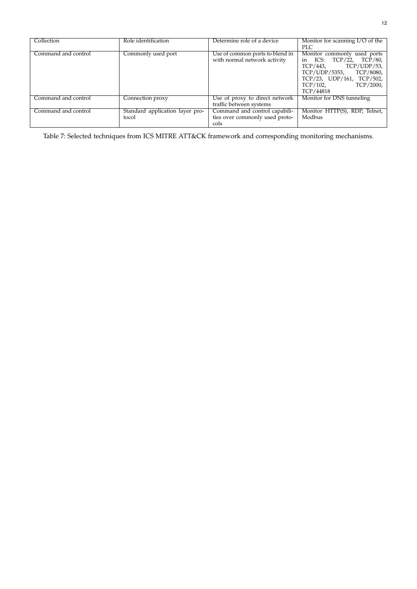<span id="page-11-0"></span>

| Collection          | Role identification                      | Determine role of a device                                              | Monitor for scanning $I/O$ of the<br><b>PLC</b>                                                                                                                                    |
|---------------------|------------------------------------------|-------------------------------------------------------------------------|------------------------------------------------------------------------------------------------------------------------------------------------------------------------------------|
| Command and control | Commonly used port                       | Use of common ports to blend in<br>with normal network activity         | Monitor commonly used ports<br>in ICS: TCP/22, TCP/80,<br>TCP/UDP/53,<br>TCP/443.<br>TCP/8080,<br>TCP/UDP/5353,<br>TCP/23, UDP/161, TCP/502,<br>TCP/2000.<br>TCP/102,<br>TCP/44818 |
| Command and control | Connection proxy                         | Use of proxy to direct network<br>traffic between systems               | Monitor for DNS tunneling                                                                                                                                                          |
| Command and control | Standard application layer pro-<br>tocol | Command and control capabili-<br>ties over commonly used proto-<br>cols | Monitor HTTP(S), RDP, Telnet,<br>Modbus                                                                                                                                            |

Table 7: Selected techniques from ICS MITRE ATT&CK framework and corresponding monitoring mechanisms.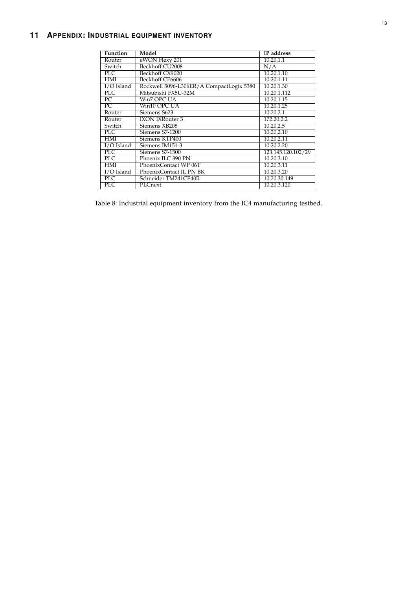# <span id="page-12-1"></span><span id="page-12-0"></span>**11 APPENDIX: INDUSTRIAL EQUIPMENT INVENTORY**

| <b>Function</b>          | Model                                    | <b>IP</b> address  |
|--------------------------|------------------------------------------|--------------------|
| Router                   | eWON Flexy 201                           | 10.20.1.1          |
| Switch                   | Beckhoff CU2008                          | N/A                |
| PLC                      | Beckhoff CX9020                          | 10.20.1.10         |
| HMI                      | Beckhoff CP6606                          | 10.20.1.11         |
| $I/O$ Island             | Rockwell 5096-L306ER/A CompactLogix 5380 | 10.20.1.30         |
| PLC                      | Mitsubishi FX5U-32M                      | 10.20.1.112        |
| $\overline{\mathrm{PC}}$ | Win7 OPC UA                              | 10.20.1.15         |
| $\overline{PC}$          | Win10 OPC UA                             | 10.20.1.25         |
| Router                   | Siemens S623                             | 10.20.2.1          |
| Router                   | <b>IXON IXRouter 3</b>                   | 172.20.2.2         |
| Switch                   | Siemens XB208                            | 10.20.2.5          |
| PLC                      | Siemens S7-1200                          | 10.20.2.10         |
| HMI                      | Siemens KTP400                           | 10.20.2.11         |
| I/O Island               | Siemens IM151-3                          | 10.20.2.20         |
| PLC                      | Siemens S7-1500                          | 123.145.120.102/29 |
| $\overline{\text{PLC}}$  | Phoenix ILC 390 PN                       | 10.20.3.10         |
| HMI                      | PhoenixContact WP 06T                    | 10.20.3.11         |
| $I/O$ Island             | PhoenixContact IL PN BK                  | 10.20.3.20         |
| $\overline{\text{PLC}}$  | Schneider TM241CE40R                     | 10.20.30.149       |
| PLC                      | PLCnext                                  | 10.20.3.120        |

Table 8: Industrial equipment inventory from the IC4 manufacturing testbed.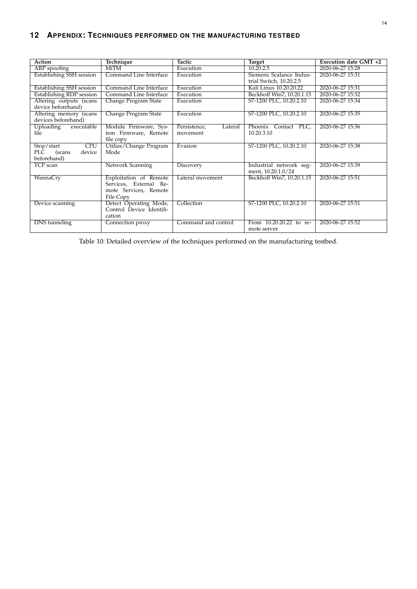# <span id="page-13-1"></span>**12 APPENDIX: TECHNIQUES PERFORMED ON THE MANUFACTURING TESTBED**

<span id="page-13-0"></span>

| Action                                                          | Technique                                                                              | Tactic                              | <b>Target</b>                                      | Execution date GMT +2 |
|-----------------------------------------------------------------|----------------------------------------------------------------------------------------|-------------------------------------|----------------------------------------------------|-----------------------|
| ARP spoofing                                                    | MiTM                                                                                   | Execution                           | 10.20.2.5                                          | 2020-06-27 15:28      |
| <b>Establishing SSH</b> session                                 | Command Line Interface                                                                 | Execution                           | Siemens Scalance Indus-<br>trial Switch, 10.20.2.5 | 2020-06-27 15:31      |
| Establishing SSH session                                        | Command Line Interface                                                                 | Execution                           | Kali Linux 10.20.20.22                             | 2020-06-27 15:31      |
| <b>Establishing RDP session</b>                                 | Command Line Interface                                                                 | Execution                           | Beckhoff Win7, 10.20.1.15                          | 2020-06-27 15:32      |
| Altering outputs (scans<br>device beforehand)                   | Change Program State                                                                   | Execution                           | S7-1200 PLC, 10.20.2.10                            | 2020-06-27 15:34      |
| Altering memory (scans<br>devices beforehand)                   | Change Program State                                                                   | Execution                           | S7-1200 PLC, 10.20.2.10                            | 2020-06-27 15:35      |
| executable<br>Uploading<br>file                                 | Module Firmware, Sys-<br>tem Firmware, Remote<br>file copy                             | Persistence,<br>Lateral<br>movement | Phoenix Contact PLC,<br>10.20.3.10                 | 2020-06-27 15:36      |
| <b>CPU</b><br>Stop/start<br>PLC (scans<br>device<br>beforehand) | Utilize/Change Program<br>Mode                                                         | Evasion                             | S7-1200 PLC, 10.20.2.10                            | 2020-06-27 15:38      |
| TCP scan                                                        | Network Scanning                                                                       | Discovery                           | Industrial network seg-<br>ment, 10.20.1.0/24      | 2020-06-27 15:39      |
| WannaCry                                                        | Exploitation of Remote<br>Services, External Re-<br>mote Services, Remote<br>File Copy | Lateral movement                    | Beckhoff Win7, 10.20.1.15                          | 2020-06-27 15:51      |
| Device scanning                                                 | Detect Operating Mode,<br>Control Device Identifi-<br>cation                           | Collection                          | S7-1200 PLC, 10.20.2.10                            | 2020-06-27 15:51      |
| DNS tunneling                                                   | Connection proxy                                                                       | Command and control                 | From 10.20.20.22 to re-<br>mote server             | 2020-06-27 15:52      |

Table 10: Detailed overview of the techniques performed on the manufacturing testbed.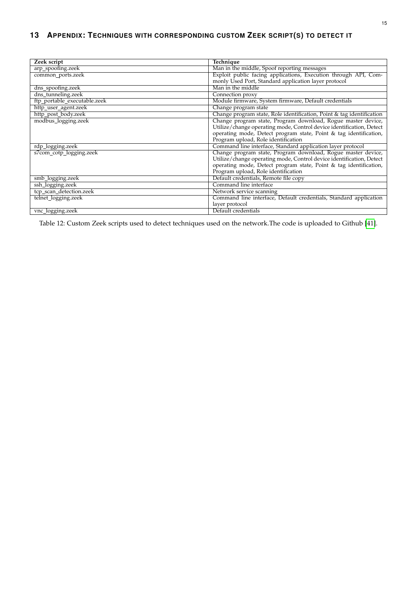<span id="page-14-1"></span><span id="page-14-0"></span>

| Zeek script                  | Technique                                                             |
|------------------------------|-----------------------------------------------------------------------|
| arp_spoofing.zeek            | Man in the middle, Spoof reporting messages                           |
| common_ports.zeek            | Exploit public facing applications, Execution through API, Com-       |
|                              | monly Used Port, Standard application layer protocol                  |
| dns_spoofing.zeek            | Man in the middle                                                     |
| dns_tunneling.zeek           | Connection proxy                                                      |
| ftp_portable_executable.zeek | Module firmware, System firmware, Default credentials                 |
| http_user_agent.zeek         | Change program state                                                  |
| http_post_body.zeek          | Change program state, Role identification, Point & tag identification |
| modbus logging.zeek          | Change program state, Program download, Rogue master device,          |
|                              | Utilize/change operating mode, Control device identification, Detect  |
|                              | operating mode, Detect program state, Point & tag identification,     |
|                              | Program upload, Role identification                                   |
| rdp_logging.zeek             | Command line interface, Standard application layer protocol           |
| s7com_cotp_logging.zeek      | Change program state, Program download, Rogue master device,          |
|                              | Utilize/change operating mode, Control device identification, Detect  |
|                              | operating mode, Detect program state, Point & tag identification,     |
|                              | Program upload, Role identification                                   |
| smb_logging.zeek             | Default credentials, Remote file copy                                 |
| ssh_logging.zeek             | Command line interface                                                |
| tcp_scan_detection.zeek      | Network service scanning                                              |
| telnet_logging.zeek          | Command line interface, Default credentials, Standard application     |
|                              | layer protocol                                                        |
| vnc_logging.zeek             | Default credentials                                                   |

Table 12: Custom Zeek scripts used to detect techniques used on the network.The code is uploaded to Github [\[41\]](#page-9-21).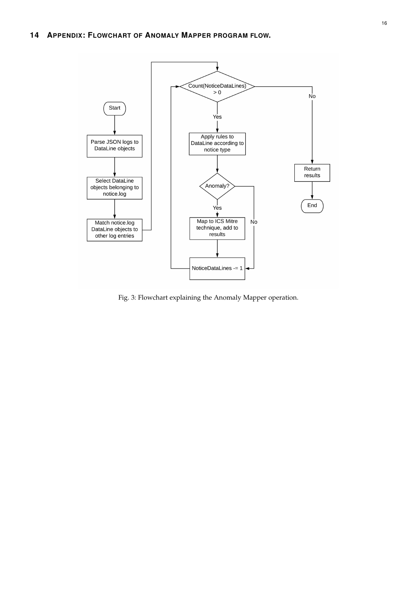<span id="page-15-1"></span><span id="page-15-0"></span>

Fig. 3: Flowchart explaining the Anomaly Mapper operation.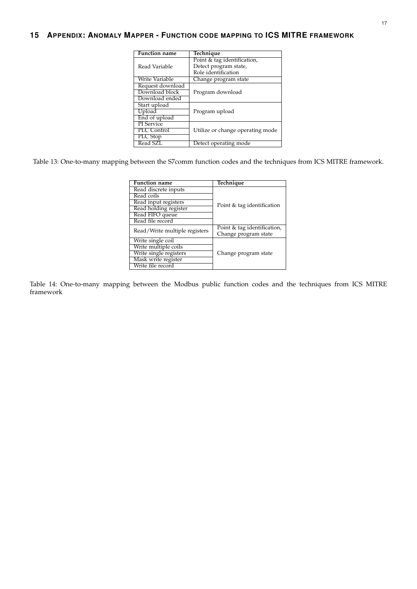# <span id="page-16-2"></span><span id="page-16-0"></span>**15 APPENDIX: ANOMALY MAPPER - FUNCTION CODE MAPPING TO ICS MITRE FRAMEWORK**

| Function name     | Technique                        |
|-------------------|----------------------------------|
|                   | Point & tag identification,      |
| Read Variable     | Detect program state,            |
|                   | Role identification              |
| Write Variable    | Change program state             |
| Request download  |                                  |
| Download block    | Program download                 |
| Download ended    |                                  |
| Start upload      |                                  |
| Upload            | Program upload                   |
| End of upload     |                                  |
| <b>PI</b> Service |                                  |
| PLC Control       | Utilize or change operating mode |
| PLC Stop          |                                  |
| Read SZL          | Detect operating mode            |

<span id="page-16-1"></span>Table 13: One-to-many mapping between the S7comm function codes and the techniques from ICS MITRE framework.

| <b>Function name</b>          | Technique                   |
|-------------------------------|-----------------------------|
|                               |                             |
| Read discrete inputs          |                             |
| Read coils                    |                             |
| Read input registers          | Point & tag identification  |
| Read holding register         |                             |
| Read FIFO queue               |                             |
| Read file record              |                             |
|                               | Point & tag identification, |
| Read/Write multiple registers | Change program state        |
| Write single coil             |                             |
| Write multiple coils          |                             |
| Write single registers        | Change program state        |
| Mask write register           |                             |
| Write file record             |                             |

Table 14: One-to-many mapping between the Modbus public function codes and the techniques from ICS MITRE framework